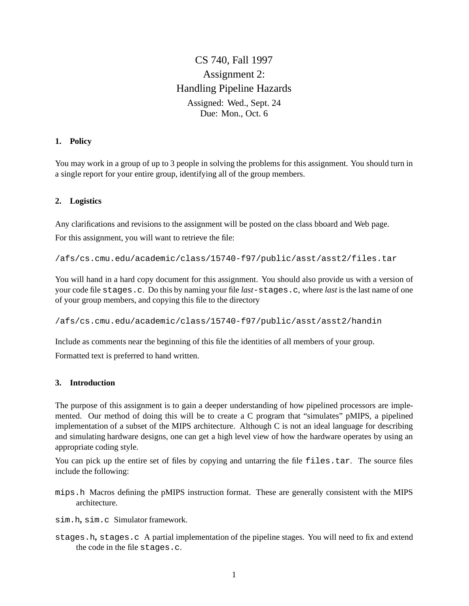CS 740, Fall 1997 Assignment 2: Handling Pipeline Hazards Assigned: Wed., Sept. 24 Due: Mon., Oct. 6

#### **1. Policy**

You may work in a group of up to 3 people in solving the problems for this assignment. You should turn in a single report for your entire group, identifying all of the group members.

#### **2. Logistics**

Any clarifications and revisions to the assignment will be posted on the class bboard and Web page.

For this assignment, you will want to retrieve the file:

/afs/cs.cmu.edu/academic/class/15740-f97/public/asst/asst2/files.tar

You will hand in a hard copy document for this assignment. You should also provide us with a version of your code file stages.c. Do this by naming your file *last*-stages.c, where *last* is the last name of one of your group members, and copying this file to the directory

/afs/cs.cmu.edu/academic/class/15740-f97/public/asst/asst2/handin

Include as comments near the beginning of this file the identities of all members of your group.

Formatted text is preferred to hand written.

## **3. Introduction**

The purpose of this assignment is to gain a deeper understanding of how pipelined processors are implemented. Our method of doing this will be to create a C program that "simulates" pMIPS, a pipelined implementation of a subset of the MIPS architecture. Although C is not an ideal language for describing and simulating hardware designs, one can get a high level view of how the hardware operates by using an appropriate coding style.

You can pick up the entire set of files by copying and untarring the file files.tar. The source files include the following:

mips.h Macros defining the pMIPS instruction format. These are generally consistent with the MIPS architecture.

sim.h**,** sim.c Simulator framework.

stages.h**,** stages.c A partial implementation of the pipeline stages. You will need to fix and extend the code in the file stages.c.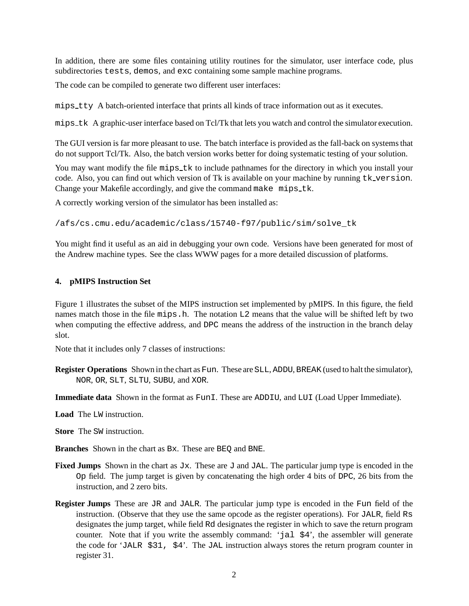In addition, there are some files containing utility routines for the simulator, user interface code, plus subdirectories tests, demos, and exc containing some sample machine programs.

The code can be compiled to generate two different user interfaces:

mips tty A batch-oriented interface that prints all kinds of trace information out as it executes.

mips tk A graphic-user interface based on Tcl/Tk that lets you watch and control the simulator execution.

The GUI version is far more pleasant to use. The batch interface is provided as the fall-back on systems that do not support Tcl/Tk. Also, the batch version works better for doing systematic testing of your solution.

You may want modify the file mips  $\pm k$  to include pathnames for the directory in which you install your code. Also, you can find out which version of Tk is available on your machine by running tk version. Change your Makefile accordingly, and give the command make mips\_tk.

A correctly working version of the simulator has been installed as:

/afs/cs.cmu.edu/academic/class/15740-f97/public/sim/solve\_tk

You might find it useful as an aid in debugging your own code. Versions have been generated for most of the Andrew machine types. See the class WWW pages for a more detailed discussion of platforms.

#### **4. pMIPS Instruction Set**

Figure 1 illustrates the subset of the MIPS instruction set implemented by pMIPS. In this figure, the field names match those in the file mips.h. The notation L2 means that the value will be shifted left by two when computing the effective address, and DPC means the address of the instruction in the branch delay slot.

Note that it includes only 7 classes of instructions:

**Register Operations** Shown in the chart as Fun. These are SLL, ADDU, BREAK (used to halt the simulator), NOR, OR, SLT, SLTU, SUBU, and XOR.

**Immediate data** Shown in the format as FunI. These are ADDIU, and LUI (Load Upper Immediate).

**Load** The LW instruction.

**Store** The SW instruction.

**Branches** Shown in the chart as Bx. These are BEQ and BNE.

- **Fixed Jumps** Shown in the chart as  $Jx$ . These are  $J$  and  $JAL$ . The particular jump type is encoded in the Op field. The jump target is given by concatenating the high order 4 bits of DPC, 26 bits from the instruction, and 2 zero bits.
- **Register Jumps** These are JR and JALR. The particular jump type is encoded in the Fun field of the instruction. (Observe that they use the same opcode as the register operations). For JALR, field Rs designates the jump target, while field Rd designates the register in which to save the return program counter. Note that if you write the assembly command: 'jal \$4', the assembler will generate the code for 'JALR \$31, \$4'. The JAL instruction always stores the return program counter in register 31.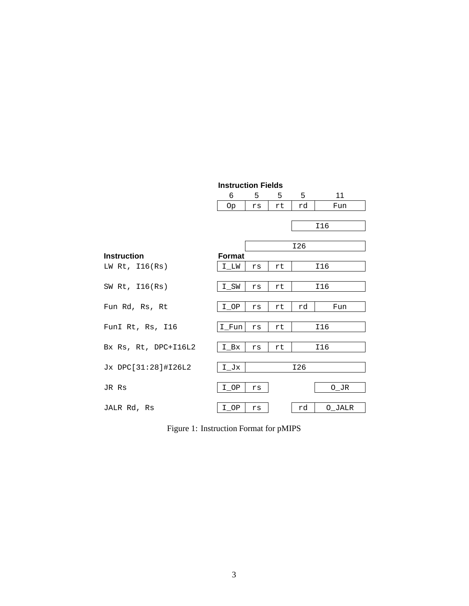|                      | <b>Instruction Fields</b> |     |    |     |                   |
|----------------------|---------------------------|-----|----|-----|-------------------|
|                      | 6                         | 5   | 5  | 5   | 11                |
|                      | 0p                        | rs  | rt | rd  | Fun               |
|                      |                           |     |    |     |                   |
|                      |                           |     |    |     | I16               |
|                      |                           |     |    |     |                   |
|                      |                           | I26 |    |     |                   |
| <b>Instruction</b>   | <b>Format</b>             |     |    |     |                   |
| LW Rt, $I16(Rs)$     | I LW                      | rs  | rt |     | I16               |
|                      |                           |     |    |     |                   |
| SW Rt, $I16(Rs)$     | $I$ <sub>_</sub> SW       | rs  | rt |     | I16               |
|                      |                           |     |    |     |                   |
| Fun Rd, Rs, Rt       | $I$ <sup>OP</sup>         | rs  | rt | rd  | Fun               |
|                      |                           |     |    |     |                   |
| FunI Rt, Rs, 116     | I Fun                     | rs  | rt |     | I16               |
|                      |                           |     |    |     |                   |
| Bx Rs, Rt, DPC+I16L2 | $I_Bx$                    | rs  | rt |     | I16               |
|                      |                           |     |    |     |                   |
| Jx DPC[31:28]#I26L2  | $I_Jx$                    |     |    | I26 |                   |
|                      |                           |     |    |     |                   |
| JR Rs                | $I$ <sup>OP</sup>         | rs  |    |     | $O$ <sup>JR</sup> |
|                      |                           |     |    |     |                   |
| JALR Rd, Rs          | I OP                      | rs  |    | rd  | O JALR            |

Figure 1: Instruction Format for pMIPS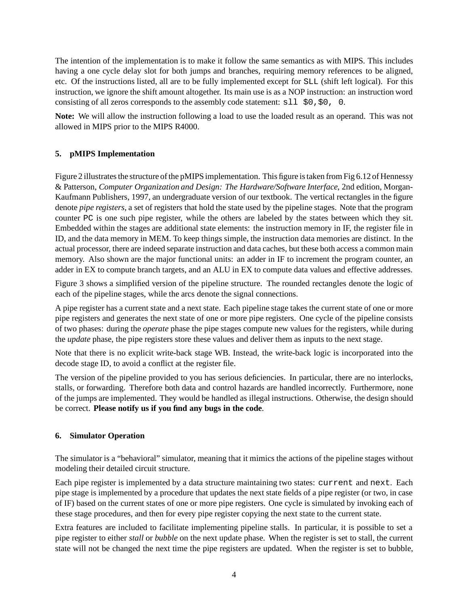The intention of the implementation is to make it follow the same semantics as with MIPS. This includes having a one cycle delay slot for both jumps and branches, requiring memory references to be aligned, etc. Of the instructions listed, all are to be fully implemented except for SLL (shift left logical). For this instruction, we ignore the shift amount altogether. Its main use is as a NOP instruction: an instruction word consisting of all zeros corresponds to the assembly code statement:  $\text{sl}1 \text{ } \text{ } \text{ } \$0, \$0, 0.$ 

**Note:** We will allow the instruction following a load to use the loaded result as an operand. This was not allowed in MIPS prior to the MIPS R4000.

# **5. pMIPS Implementation**

Figure 2 illustrates the structure of the pMIPS implementation. This figure is taken from Fig 6.12 of Hennessy & Patterson, *Computer Organization and Design: The Hardware/Software Interface*, 2nd edition, Morgan-Kaufmann Publishers, 1997, an undergraduate version of our textbook. The vertical rectangles in the figure denote *pipe registers*, a set of registers that hold the state used by the pipeline stages. Note that the program counter PC is one such pipe register, while the others are labeled by the states between which they sit. Embedded within the stages are additional state elements: the instruction memory in IF, the register file in ID, and the data memory in MEM. To keep things simple, the instruction data memories are distinct. In the actual processor, there are indeed separate instruction and data caches, but these both access a common main memory. Also shown are the major functional units: an adder in IF to increment the program counter, an adder in EX to compute branch targets, and an ALU in EX to compute data values and effective addresses.

Figure 3 shows a simplified version of the pipeline structure. The rounded rectangles denote the logic of each of the pipeline stages, while the arcs denote the signal connections.

A pipe register has a current state and a next state. Each pipeline stage takes the current state of one or more pipe registers and generates the next state of one or more pipe registers. One cycle of the pipeline consists of two phases: during the *operate* phase the pipe stages compute new values for the registers, while during the *update* phase, the pipe registers store these values and deliver them as inputs to the next stage.

Note that there is no explicit write-back stage WB. Instead, the write-back logic is incorporated into the decode stage ID, to avoid a conflict at the register file.

The version of the pipeline provided to you has serious deficiencies. In particular, there are no interlocks, stalls, or forwarding. Therefore both data and control hazards are handled incorrectly. Furthermore, none of the jumps are implemented. They would be handled as illegal instructions. Otherwise, the design should be correct. **Please notify us if you find any bugs in the code**.

# **6. Simulator Operation**

The simulator is a "behavioral" simulator, meaning that it mimics the actions of the pipeline stages without modeling their detailed circuit structure.

Each pipe register is implemented by a data structure maintaining two states: current and next. Each pipe stage is implemented by a procedure that updates the next state fields of a pipe register (or two, in case of IF) based on the current states of one or more pipe registers. One cycle is simulated by invoking each of these stage procedures, and then for every pipe register copying the next state to the current state.

Extra features are included to facilitate implementing pipeline stalls. In particular, it is possible to set a pipe register to either *stall* or *bubble* on the next update phase. When the register is set to stall, the current state will not be changed the next time the pipe registers are updated. When the register is set to bubble,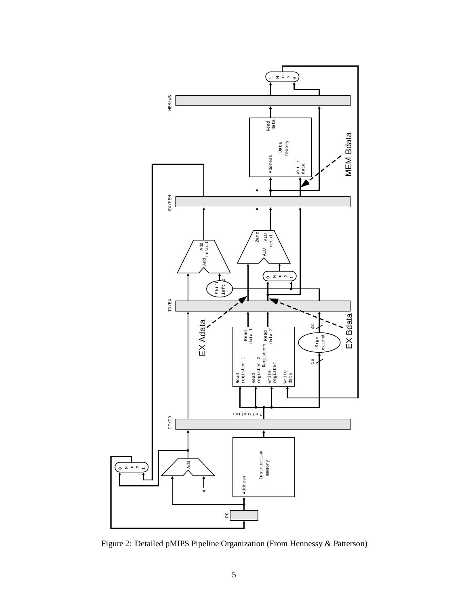

Figure 2: Detailed pMIPS Pipeline Organization (From Hennessy & Patterson)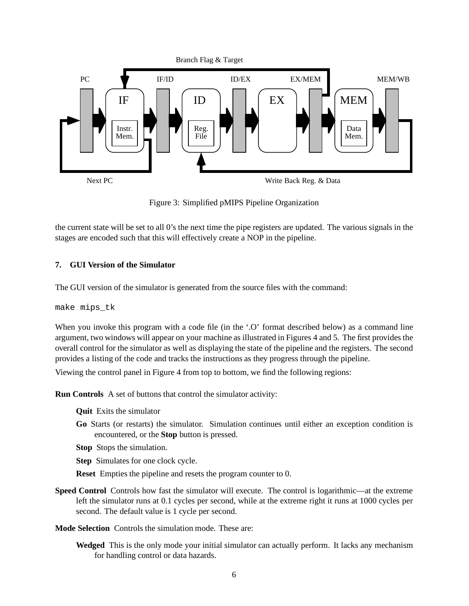

Figure 3: Simplified pMIPS Pipeline Organization

the current state will be set to all 0's the next time the pipe registers are updated. The various signals in the stages are encoded such that this will effectively create a NOP in the pipeline.

## **7. GUI Version of the Simulator**

The GUI version of the simulator is generated from the source files with the command:

make mips\_tk

When you invoke this program with a code file (in the '.O' format described below) as a command line argument, two windows will appear on your machine as illustrated in Figures 4 and 5. The first provides the overall control for the simulator as well as displaying the state of the pipeline and the registers. The second provides a listing of the code and tracks the instructions as they progress through the pipeline.

Viewing the control panel in Figure 4 from top to bottom, we find the following regions:

**Run Controls** A set of buttons that control the simulator activity:

**Quit** Exits the simulator

**Go** Starts (or restarts) the simulator. Simulation continues until either an exception condition is encountered, or the **Stop** button is pressed.

**Stop** Stops the simulation.

**Step** Simulates for one clock cycle.

**Reset** Empties the pipeline and resets the program counter to 0.

**Speed Control** Controls how fast the simulator will execute. The control is logarithmic—at the extreme left the simulator runs at 0.1 cycles per second, while at the extreme right it runs at 1000 cycles per second. The default value is 1 cycle per second.

**Mode Selection** Controls the simulation mode. These are:

**Wedged** This is the only mode your initial simulator can actually perform. It lacks any mechanism for handling control or data hazards.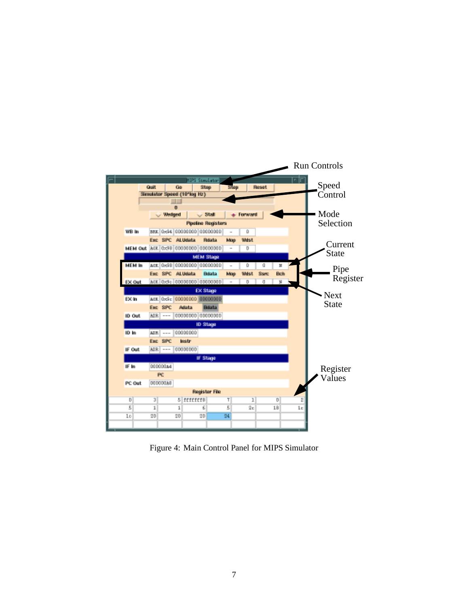

Figure 4: Main Control Panel for MIPS Simulator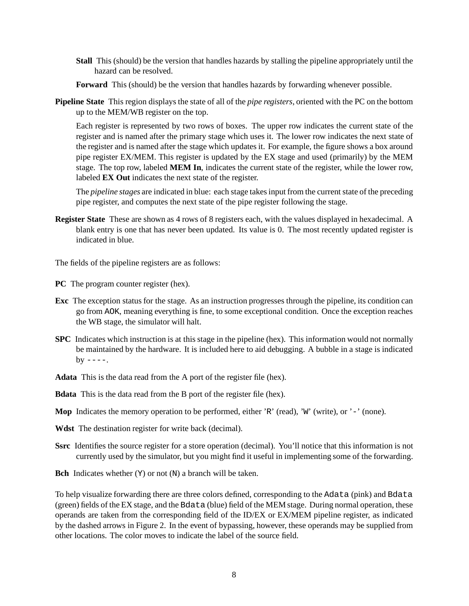- **Stall** This (should) be the version that handles hazards by stalling the pipeline appropriately until the hazard can be resolved.
- **Forward** This (should) be the version that handles hazards by forwarding whenever possible.
- **Pipeline State** This region displays the state of all of the *pipe registers*, oriented with the PC on the bottom up to the MEM/WB register on the top.

Each register is represented by two rows of boxes. The upper row indicates the current state of the register and is named after the primary stage which uses it. The lower row indicates the next state of the register and is named after the stage which updates it. For example, the figure shows a box around pipe register EX/MEM. This register is updated by the EX stage and used (primarily) by the MEM stage. The top row, labeled **MEM In**, indicates the current state of the register, while the lower row, labeled **EX Out** indicates the next state of the register.

The *pipeline stages* are indicated in blue: each stage takes input from the current state of the preceding pipe register, and computes the next state of the pipe register following the stage.

**Register State** These are shown as 4 rows of 8 registers each, with the values displayed in hexadecimal. A blank entry is one that has never been updated. Its value is 0. The most recently updated register is indicated in blue.

The fields of the pipeline registers are as follows:

**PC** The program counter register (hex).

- **Exc** The exception status for the stage. As an instruction progresses through the pipeline, its condition can go from AOK, meaning everything is fine, to some exceptional condition. Once the exception reaches the WB stage, the simulator will halt.
- **SPC** Indicates which instruction is at this stage in the pipeline (hex). This information would not normally be maintained by the hardware. It is included here to aid debugging. A bubble in a stage is indicated  $bv$   $---$ .
- **Adata** This is the data read from the A port of the register file (hex).

**Bdata** This is the data read from the B port of the register file (hex).

- **Mop** Indicates the memory operation to be performed, either 'R' (read), 'W' (write), or '-' (none).
- **Wdst** The destination register for write back (decimal).
- **Ssrc** Identifies the source register for a store operation (decimal). You'll notice that this information is not currently used by the simulator, but you might find it useful in implementing some of the forwarding.
- **Bch** Indicates whether (Y) or not (N) a branch will be taken.

To help visualize forwarding there are three colors defined, corresponding to the Adata (pink) and Bdata (green) fields of the EX stage, and the Bdata (blue) field of the MEM stage. During normal operation, these operands are taken from the corresponding field of the ID/EX or EX/MEM pipeline register, as indicated by the dashed arrows in Figure 2. In the event of bypassing, however, these operands may be supplied from other locations. The color moves to indicate the label of the source field.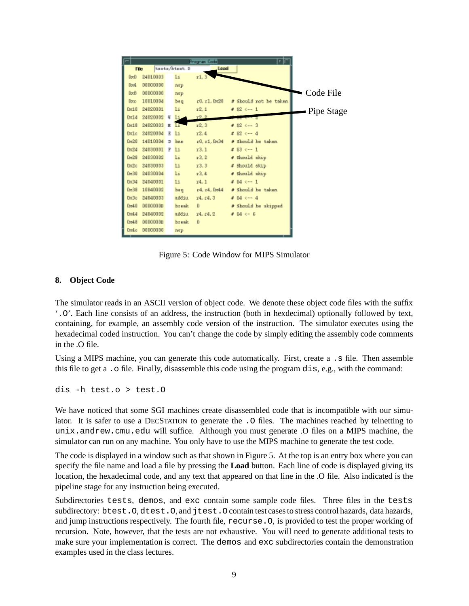

Figure 5: Code Window for MIPS Simulator

# **8. Object Code**

The simulator reads in an ASCII version of object code. We denote these object code files with the suffix '.O'. Each line consists of an address, the instruction (both in hexdecimal) optionally followed by text, containing, for example, an assembly code version of the instruction. The simulator executes using the hexadecimal coded instruction. You can't change the code by simply editing the assembly code comments in the .O file.

Using a MIPS machine, you can generate this code automatically. First, create a . s file. Then assemble this file to get a .o file. Finally, disassemble this code using the program dis, e.g., with the command:

dis -h test.o > test.O

We have noticed that some SGI machines create disassembled code that is incompatible with our simulator. It is safer to use a DECSTATION to generate the .O files. The machines reached by telnetting to unix.andrew.cmu.edu will suffice. Although you must generate .O files on a MIPS machine, the simulator can run on any machine. You only have to use the MIPS machine to generate the test code.

The code is displayed in a window such as that shown in Figure 5. At the top is an entry box where you can specify the file name and load a file by pressing the **Load** button. Each line of code is displayed giving its location, the hexadecimal code, and any text that appeared on that line in the .O file. Also indicated is the pipeline stage for any instruction being executed.

Subdirectories tests, demos, and exc contain some sample code files. Three files in the tests subdirectory: btest.O, dtest.O, and jtest.O contain test cases to stress control hazards, data hazards, and jump instructions respectively. The fourth file, recurse.O, is provided to test the proper working of recursion. Note, however, that the tests are not exhaustive. You will need to generate additional tests to make sure your implementation is correct. The demos and exc subdirectories contain the demonstration examples used in the class lectures.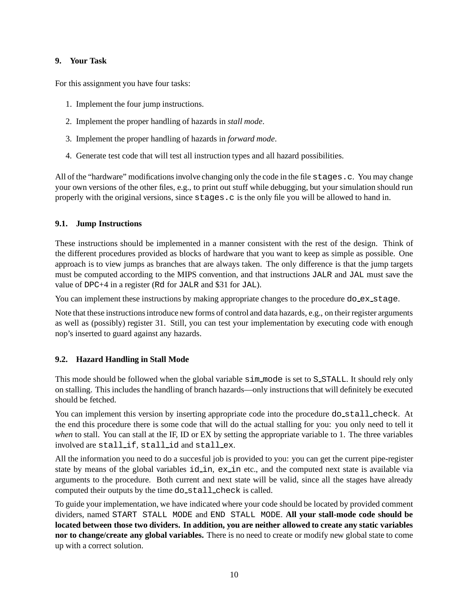## **9. Your Task**

For this assignment you have four tasks:

- 1. Implement the four jump instructions.
- 2. Implement the proper handling of hazards in *stall mode*.
- 3. Implement the proper handling of hazards in *forward mode*.
- 4. Generate test code that will test all instruction types and all hazard possibilities.

All of the "hardware" modifications involve changing only the code in the file stages.c. You may change your own versions of the other files, e.g., to print out stuff while debugging, but your simulation should run properly with the original versions, since stages.c is the only file you will be allowed to hand in.

## **9.1. Jump Instructions**

These instructions should be implemented in a manner consistent with the rest of the design. Think of the different procedures provided as blocks of hardware that you want to keep as simple as possible. One approach is to view jumps as branches that are always taken. The only difference is that the jump targets must be computed according to the MIPS convention, and that instructions JALR and JAL must save the value of DPC+4 in a register (Rd for JALR and \$31 for JAL).

You can implement these instructions by making appropriate changes to the procedure do ex stage.

Note that these instructions introduce new forms of control and data hazards, e.g., on their register arguments as well as (possibly) register 31. Still, you can test your implementation by executing code with enough nop's inserted to guard against any hazards.

# **9.2. Hazard Handling in Stall Mode**

This mode should be followed when the global variable  $\sin$  mode is set to S\_STALL. It should rely only on stalling. This includes the handling of branch hazards—only instructions that will definitely be executed should be fetched.

You can implement this version by inserting appropriate code into the procedure do\_stall\_check. At the end this procedure there is some code that will do the actual stalling for you: you only need to tell it *when* to stall. You can stall at the IF, ID or EX by setting the appropriate variable to 1. The three variables involved are stall if, stall id and stall ex.

All the information you need to do a succesful job is provided to you: you can get the current pipe-register state by means of the global variables id in, ex in etc., and the computed next state is available via arguments to the procedure. Both current and next state will be valid, since all the stages have already computed their outputs by the time do\_stall\_check is called.

To guide your implementation, we have indicated where your code should be located by provided comment dividers, named START STALL MODE and END STALL MODE. **All your stall-mode code should be located between those two dividers. In addition, you are neither allowed to create any static variables nor to change/create any global variables.** There is no need to create or modify new global state to come up with a correct solution.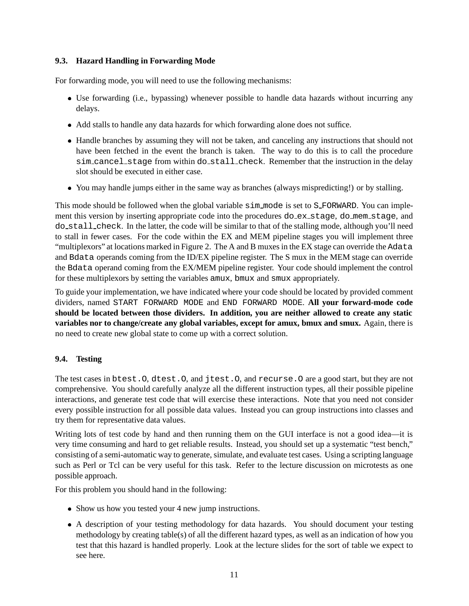# **9.3. Hazard Handling in Forwarding Mode**

For forwarding mode, you will need to use the following mechanisms:

- Use forwarding (i.e., bypassing) whenever possible to handle data hazards without incurring any delays.
- Add stalls to handle any data hazards for which forwarding alone does not suffice.
- Handle branches by assuming they will not be taken, and canceling any instructions that should not have been fetched in the event the branch is taken. The way to do this is to call the procedure sim cancel stage from within do stall check. Remember that the instruction in the delay slot should be executed in either case.
- You may handle jumps either in the same way as branches (always mispredicting!) or by stalling.

This mode should be followed when the global variable  $\sin \mod 2$  is set to S\_FORWARD. You can implement this version by inserting appropriate code into the procedures do ex stage, do mem stage, and do stall check. In the latter, the code will be similar to that of the stalling mode, although you'll need to stall in fewer cases. For the code within the EX and MEM pipeline stages you will implement three "multiplexors" at locations marked in Figure 2. The A and B muxes in the EX stage can override the Adata and Bdata operands coming from the ID/EX pipeline register. The S mux in the MEM stage can override the Bdata operand coming from the EX/MEM pipeline register. Your code should implement the control for these multiplexors by setting the variables amux, bmux and smux appropriately.

To guide your implementation, we have indicated where your code should be located by provided comment dividers, named START FORWARD MODE and END FORWARD MODE. **All your forward-mode code should be located between those dividers. In addition, you are neither allowed to create any static variables nor to change/create any global variables, except for amux, bmux and smux.** Again, there is no need to create new global state to come up with a correct solution.

# **9.4. Testing**

The test cases in btest.O, dtest.O, and jtest.O, and recurse.O are a good start, but they are not comprehensive. You should carefully analyze all the different instruction types, all their possible pipeline interactions, and generate test code that will exercise these interactions. Note that you need not consider every possible instruction for all possible data values. Instead you can group instructions into classes and try them for representative data values.

Writing lots of test code by hand and then running them on the GUI interface is not a good idea—it is very time consuming and hard to get reliable results. Instead, you should set up a systematic "test bench," consisting of a semi-automatic way to generate, simulate, and evaluate test cases. Using a scripting language such as Perl or Tcl can be very useful for this task. Refer to the lecture discussion on microtests as one possible approach.

For this problem you should hand in the following:

- Show us how you tested your 4 new jump instructions.
- A description of your testing methodology for data hazards. You should document your testing methodology by creating table(s) of all the different hazard types, as well as an indication of how you test that this hazard is handled properly. Look at the lecture slides for the sort of table we expect to see here.